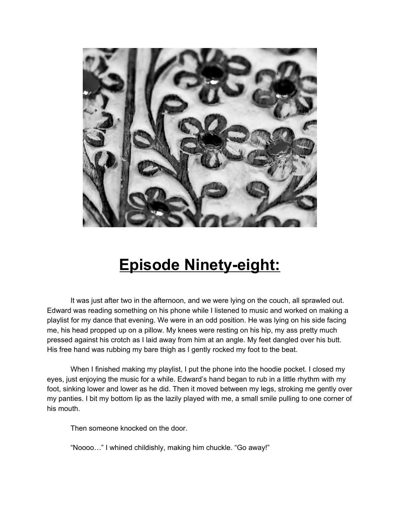

## **Episode Ninety-eight:**

It was just after two in the afternoon, and we were lying on the couch, all sprawled out. Edward was reading something on his phone while I listened to music and worked on making a playlist for my dance that evening. We were in an odd position. He was lying on his side facing me, his head propped up on a pillow. My knees were resting on his hip, my ass pretty much pressed against his crotch as I laid away from him at an angle. My feet dangled over his butt. His free hand was rubbing my bare thigh as I gently rocked my foot to the beat.

When I finished making my playlist, I put the phone into the hoodie pocket. I closed my eyes, just enjoying the music for a while. Edward's hand began to rub in a little rhythm with my foot, sinking lower and lower as he did. Then it moved between my legs, stroking me gently over my panties. I bit my bottom lip as the lazily played with me, a small smile pulling to one corner of his mouth.

Then someone knocked on the door.

"Noooo…" I whined childishly, making him chuckle. "Go away!"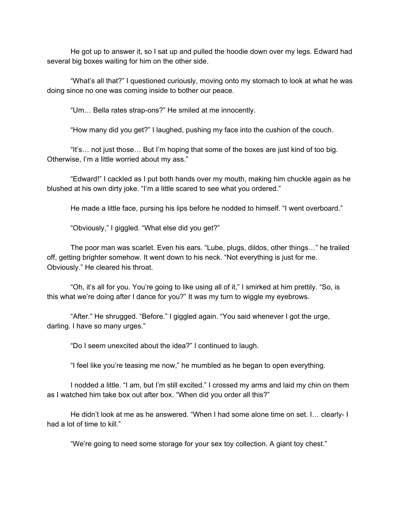He got up to answer it, so I sat up and pulled the hoodie down over my legs. Edward had several big boxes waiting for him on the other side.

"What's all that?" I questioned curiously, moving onto my stomach to look at what he was doing since no one was coming inside to bother our peace.

"Um… Bella rates strap-ons?" He smiled at me innocently.

"How many did you get?" I laughed, pushing my face into the cushion of the couch.

"It's… not just those… But I'm hoping that some of the boxes are just kind of too big. Otherwise, I'm a little worried about my ass."

"Edward!" I cackled as I put both hands over my mouth, making him chuckle again as he blushed at his own dirty joke. "I'm a little scared to see what you ordered."

He made a little face, pursing his lips before he nodded to himself. "I went overboard."

"Obviously," I giggled. "What else did you get?"

The poor man was scarlet. Even his ears. "Lube, plugs, dildos, other things…" he trailed off, getting brighter somehow. It went down to his neck. "Not everything is just for me. Obviously." He cleared his throat.

"Oh, it's all for you. You're going to like using all of it," I smirked at him prettily. "So, is this what we're doing after I dance for you?" It was my turn to wiggle my eyebrows.

"After." He shrugged. "Before." I giggled again. "You said whenever I got the urge, darling. I have so many urges."

"Do I seem unexcited about the idea?" I continued to laugh.

"I feel like you're teasing me now," he mumbled as he began to open everything.

I nodded a little. "I am, but I'm still excited." I crossed my arms and laid my chin on them as I watched him take box out after box. "When did you order all this?"

He didn't look at me as he answered. "When I had some alone time on set. I… clearly- I had a lot of time to kill."

"We're going to need some storage for your sex toy collection. A giant toy chest."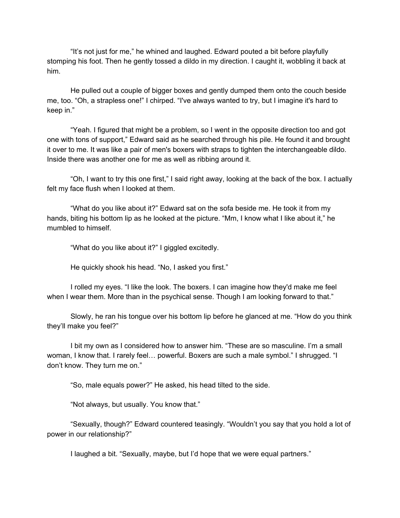"It's not just for me," he whined and laughed. Edward pouted a bit before playfully stomping his foot. Then he gently tossed a dildo in my direction. I caught it, wobbling it back at him.

He pulled out a couple of bigger boxes and gently dumped them onto the couch beside me, too. "Oh, a strapless one!" I chirped. "I've always wanted to try, but I imagine it's hard to keep in."

"Yeah. I figured that might be a problem, so I went in the opposite direction too and got one with tons of support," Edward said as he searched through his pile. He found it and brought it over to me. It was like a pair of men's boxers with straps to tighten the interchangeable dildo. Inside there was another one for me as well as ribbing around it.

"Oh, I want to try this one first," I said right away, looking at the back of the box. I actually felt my face flush when I looked at them.

"What do you like about it?" Edward sat on the sofa beside me. He took it from my hands, biting his bottom lip as he looked at the picture. "Mm, I know what I like about it," he mumbled to himself.

"What do you like about it?" I giggled excitedly.

He quickly shook his head. "No, I asked you first."

I rolled my eyes. "I like the look. The boxers. I can imagine how they'd make me feel when I wear them. More than in the psychical sense. Though I am looking forward to that."

Slowly, he ran his tongue over his bottom lip before he glanced at me. "How do you think they'll make you feel?"

I bit my own as I considered how to answer him. "These are so masculine. I'm a small woman, I know that. I rarely feel… powerful. Boxers are such a male symbol." I shrugged. "I don't know. They turn me on."

"So, male equals power?" He asked, his head tilted to the side.

"Not always, but usually. You know that."

"Sexually, though?" Edward countered teasingly. "Wouldn't you say that you hold a lot of power in our relationship?"

I laughed a bit. "Sexually, maybe, but I'd hope that we were equal partners."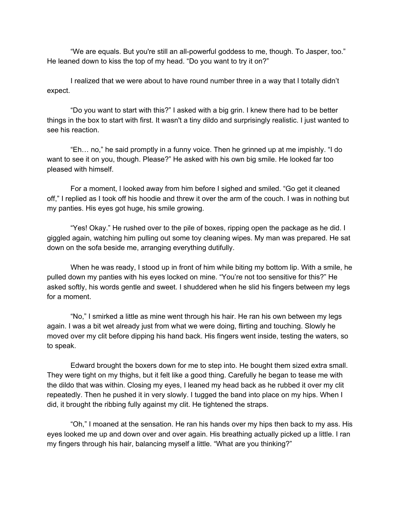"We are equals. But you're still an all-powerful goddess to me, though. To Jasper, too." He leaned down to kiss the top of my head. "Do you want to try it on?"

I realized that we were about to have round number three in a way that I totally didn't expect.

"Do you want to start with this?" I asked with a big grin. I knew there had to be better things in the box to start with first. It wasn't a tiny dildo and surprisingly realistic. I just wanted to see his reaction.

"Eh… no," he said promptly in a funny voice. Then he grinned up at me impishly. "I do want to see it on you, though. Please?" He asked with his own big smile. He looked far too pleased with himself.

For a moment, I looked away from him before I sighed and smiled. "Go get it cleaned off," I replied as I took off his hoodie and threw it over the arm of the couch. I was in nothing but my panties. His eyes got huge, his smile growing.

"Yes! Okay." He rushed over to the pile of boxes, ripping open the package as he did. I giggled again, watching him pulling out some toy cleaning wipes. My man was prepared. He sat down on the sofa beside me, arranging everything dutifully.

When he was ready, I stood up in front of him while biting my bottom lip. With a smile, he pulled down my panties with his eyes locked on mine. "You're not too sensitive for this?" He asked softly, his words gentle and sweet. I shuddered when he slid his fingers between my legs for a moment.

"No," I smirked a little as mine went through his hair. He ran his own between my legs again. I was a bit wet already just from what we were doing, flirting and touching. Slowly he moved over my clit before dipping his hand back. His fingers went inside, testing the waters, so to speak.

Edward brought the boxers down for me to step into. He bought them sized extra small. They were tight on my thighs, but it felt like a good thing. Carefully he began to tease me with the dildo that was within. Closing my eyes, I leaned my head back as he rubbed it over my clit repeatedly. Then he pushed it in very slowly. I tugged the band into place on my hips. When I did, it brought the ribbing fully against my clit. He tightened the straps.

"Oh," I moaned at the sensation. He ran his hands over my hips then back to my ass. His eyes looked me up and down over and over again. His breathing actually picked up a little. I ran my fingers through his hair, balancing myself a little. "What are you thinking?"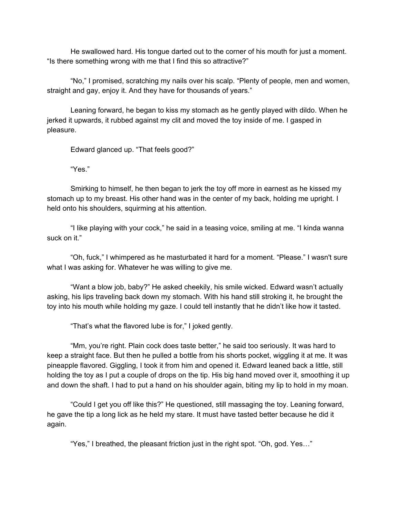He swallowed hard. His tongue darted out to the corner of his mouth for just a moment. "Is there something wrong with me that I find this so attractive?"

"No," I promised, scratching my nails over his scalp. "Plenty of people, men and women, straight and gay, enjoy it. And they have for thousands of years."

Leaning forward, he began to kiss my stomach as he gently played with dildo. When he jerked it upwards, it rubbed against my clit and moved the toy inside of me. I gasped in pleasure.

Edward glanced up. "That feels good?"

"Yes."

Smirking to himself, he then began to jerk the toy off more in earnest as he kissed my stomach up to my breast. His other hand was in the center of my back, holding me upright. I held onto his shoulders, squirming at his attention.

"I like playing with your cock," he said in a teasing voice, smiling at me. "I kinda wanna suck on it."

"Oh, fuck," I whimpered as he masturbated it hard for a moment. "Please." I wasn't sure what I was asking for. Whatever he was willing to give me.

"Want a blow job, baby?" He asked cheekily, his smile wicked. Edward wasn't actually asking, his lips traveling back down my stomach. With his hand still stroking it, he brought the toy into his mouth while holding my gaze. I could tell instantly that he didn't like how it tasted.

"That's what the flavored lube is for," I joked gently.

"Mm, you're right. Plain cock does taste better," he said too seriously. It was hard to keep a straight face. But then he pulled a bottle from his shorts pocket, wiggling it at me. It was pineapple flavored. Giggling, I took it from him and opened it. Edward leaned back a little, still holding the toy as I put a couple of drops on the tip. His big hand moved over it, smoothing it up and down the shaft. I had to put a hand on his shoulder again, biting my lip to hold in my moan.

"Could I get you off like this?" He questioned, still massaging the toy. Leaning forward, he gave the tip a long lick as he held my stare. It must have tasted better because he did it again.

"Yes," I breathed, the pleasant friction just in the right spot. "Oh, god. Yes…"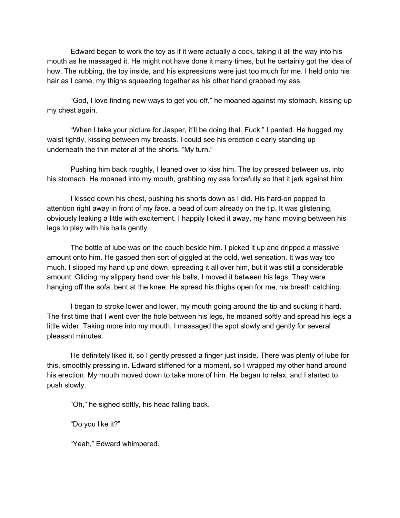Edward began to work the toy as if it were actually a cock, taking it all the way into his mouth as he massaged it. He might not have done it many times, but he certainly got the idea of how. The rubbing, the toy inside, and his expressions were just too much for me. I held onto his hair as I came, my thighs squeezing together as his other hand grabbed my ass.

"God, I love finding new ways to get you off," he moaned against my stomach, kissing up my chest again.

"When I take your picture for Jasper, it'll be doing that. Fuck," I panted. He hugged my waist tightly, kissing between my breasts. I could see his erection clearly standing up underneath the thin material of the shorts. "My turn."

Pushing him back roughly, I leaned over to kiss him. The toy pressed between us, into his stomach. He moaned into my mouth, grabbing my ass forcefully so that it jerk against him.

I kissed down his chest, pushing his shorts down as I did. His hard-on popped to attention right away in front of my face, a bead of cum already on the tip. It was glistening, obviously leaking a little with excitement. I happily licked it away, my hand moving between his legs to play with his balls gently.

The bottle of lube was on the couch beside him. I picked it up and dripped a massive amount onto him. He gasped then sort of giggled at the cold, wet sensation. It was way too much. I slipped my hand up and down, spreading it all over him, but it was still a considerable amount. Gliding my slippery hand over his balls, I moved it between his legs. They were hanging off the sofa, bent at the knee. He spread his thighs open for me, his breath catching.

I began to stroke lower and lower, my mouth going around the tip and sucking it hard. The first time that I went over the hole between his legs, he moaned softly and spread his legs a little wider. Taking more into my mouth, I massaged the spot slowly and gently for several pleasant minutes.

He definitely liked it, so I gently pressed a finger just inside. There was plenty of lube for this, smoothly pressing in. Edward stiffened for a moment, so I wrapped my other hand around his erection. My mouth moved down to take more of him. He began to relax, and I started to push slowly.

"Oh," he sighed softly, his head falling back.

"Do you like it?"

"Yeah," Edward whimpered.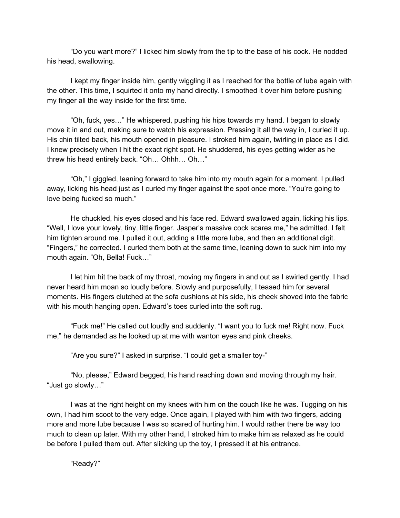"Do you want more?" I licked him slowly from the tip to the base of his cock. He nodded his head, swallowing.

I kept my finger inside him, gently wiggling it as I reached for the bottle of lube again with the other. This time, I squirted it onto my hand directly. I smoothed it over him before pushing my finger all the way inside for the first time.

"Oh, fuck, yes…" He whispered, pushing his hips towards my hand. I began to slowly move it in and out, making sure to watch his expression. Pressing it all the way in, I curled it up. His chin tilted back, his mouth opened in pleasure. I stroked him again, twirling in place as I did. I knew precisely when I hit the exact right spot. He shuddered, his eyes getting wider as he threw his head entirely back. "Oh… Ohhh… Oh…"

"Oh," I giggled, leaning forward to take him into my mouth again for a moment. I pulled away, licking his head just as I curled my finger against the spot once more. "You're going to love being fucked so much."

He chuckled, his eyes closed and his face red. Edward swallowed again, licking his lips. "Well, I love your lovely, tiny, little finger. Jasper's massive cock scares me," he admitted. I felt him tighten around me. I pulled it out, adding a little more lube, and then an additional digit. "Fingers," he corrected. I curled them both at the same time, leaning down to suck him into my mouth again. "Oh, Bella! Fuck…"

I let him hit the back of my throat, moving my fingers in and out as I swirled gently. I had never heard him moan so loudly before. Slowly and purposefully, I teased him for several moments. His fingers clutched at the sofa cushions at his side, his cheek shoved into the fabric with his mouth hanging open. Edward's toes curled into the soft rug.

"Fuck me!" He called out loudly and suddenly. "I want you to fuck me! Right now. Fuck me," he demanded as he looked up at me with wanton eyes and pink cheeks.

"Are you sure?" I asked in surprise. "I could get a smaller toy-"

"No, please," Edward begged, his hand reaching down and moving through my hair. "Just go slowly…"

I was at the right height on my knees with him on the couch like he was. Tugging on his own, I had him scoot to the very edge. Once again, I played with him with two fingers, adding more and more lube because I was so scared of hurting him. I would rather there be way too much to clean up later. With my other hand, I stroked him to make him as relaxed as he could be before I pulled them out. After slicking up the toy, I pressed it at his entrance.

"Ready?"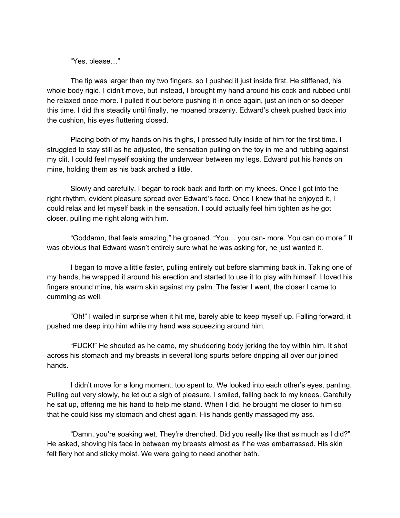"Yes, please…"

The tip was larger than my two fingers, so I pushed it just inside first. He stiffened, his whole body rigid. I didn't move, but instead, I brought my hand around his cock and rubbed until he relaxed once more. I pulled it out before pushing it in once again, just an inch or so deeper this time. I did this steadily until finally, he moaned brazenly. Edward's cheek pushed back into the cushion, his eyes fluttering closed.

Placing both of my hands on his thighs, I pressed fully inside of him for the first time. I struggled to stay still as he adjusted, the sensation pulling on the toy in me and rubbing against my clit. I could feel myself soaking the underwear between my legs. Edward put his hands on mine, holding them as his back arched a little.

Slowly and carefully, I began to rock back and forth on my knees. Once I got into the right rhythm, evident pleasure spread over Edward's face. Once I knew that he enjoyed it, I could relax and let myself bask in the sensation. I could actually feel him tighten as he got closer, pulling me right along with him.

"Goddamn, that feels amazing," he groaned. "You… you can- more. You can do more." It was obvious that Edward wasn't entirely sure what he was asking for, he just wanted it.

I began to move a little faster, pulling entirely out before slamming back in. Taking one of my hands, he wrapped it around his erection and started to use it to play with himself. I loved his fingers around mine, his warm skin against my palm. The faster I went, the closer I came to cumming as well.

"Oh!" I wailed in surprise when it hit me, barely able to keep myself up. Falling forward, it pushed me deep into him while my hand was squeezing around him.

"FUCK!" He shouted as he came, my shuddering body jerking the toy within him. It shot across his stomach and my breasts in several long spurts before dripping all over our joined hands.

I didn't move for a long moment, too spent to. We looked into each other's eyes, panting. Pulling out very slowly, he let out a sigh of pleasure. I smiled, falling back to my knees. Carefully he sat up, offering me his hand to help me stand. When I did, he brought me closer to him so that he could kiss my stomach and chest again. His hands gently massaged my ass.

"Damn, you're soaking wet. They're drenched. Did you really like that as much as I did?" He asked, shoving his face in between my breasts almost as if he was embarrassed. His skin felt fiery hot and sticky moist. We were going to need another bath.